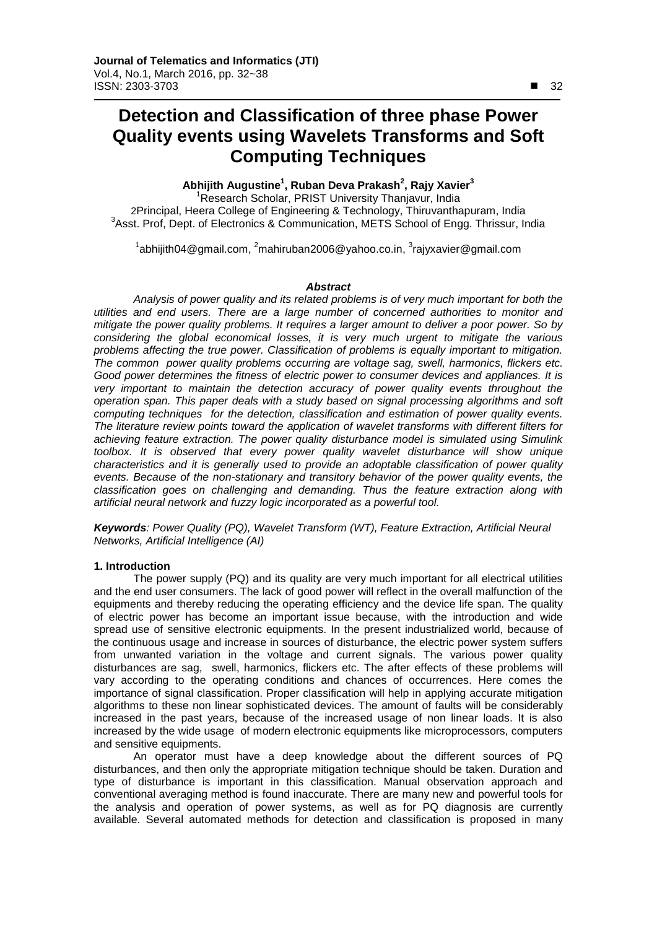# **Detection and Classification of three phase Power Quality events using Wavelets Transforms and Soft Computing Techniques**

# **Abhijith Augustine<sup>1</sup> , Ruban Deva Prakash<sup>2</sup> , Rajy Xavier3**

<sup>1</sup>Research Scholar, PRIST University Thanjavur, India 2Principal, Heera College of Engineering & Technology, Thiruvanthapuram, India <sup>3</sup> Asst. Prof, Dept. of Electronics & Communication, METS School of Engg. Thrissur, India

 $^{\text{1}}$ [abhijith04@gmail.com,](mailto:abhijith04@gmail.com)  $^{\text{2}}$ [mahiruban2006@yahoo.co.in,](mailto:2mahiruban2006@yahoo.co.in)  $^{\text{3}}$ [rajyxavier@gmail.com](mailto:3rajyxavier@gmail.com)

## *Abstract*

*Analysis of power quality and its related problems is of very much important for both the utilities and end users. There are a large number of concerned authorities to monitor and mitigate the power quality problems. It requires a larger amount to deliver a poor power. So by considering the global economical losses, it is very much urgent to mitigate the various problems affecting the true power. Classification of problems is equally important to mitigation. The common power quality problems occurring are voltage sag, swell, harmonics, flickers etc. Good power determines the fitness of [electric power](http://en.wikipedia.org/wiki/Electric_power) to [consumer](http://en.wikipedia.org/wiki/Consumer) devices and appliances. It is very important to maintain the detection accuracy of power quality events throughout the operation span. This paper deals with a study based on signal processing algorithms and soft computing techniques for the detection, classification and estimation of power quality events. The literature review points toward the application of wavelet transforms with different filters for achieving feature extraction. The power quality disturbance model is simulated using Simulink toolbox. It is observed that every power quality wavelet disturbance will show unique characteristics and it is generally used to provide an adoptable classification of power quality events. Because of the non-stationary and transitory behavior of the power quality events, the classification goes on challenging and demanding. Thus the feature extraction along with artificial neural network and fuzzy logic incorporated as a powerful tool.*

*Keywords: Power Quality (PQ), Wavelet Transform (WT), Feature Extraction, Artificial Neural Networks, Artificial Intelligence (AI)*

## **1. Introduction**

The power supply (PQ) and its quality are very much important for all electrical utilities and the end user consumers. The lack of good power will reflect in the overall malfunction of the equipments and thereby reducing the operating efficiency and the device life span. The quality of electric power has become an important issue because, with the introduction and wide spread use of sensitive electronic equipments. In the present industrialized world, because of the continuous usage and increase in sources of disturbance, the electric power system suffers from unwanted variation in the voltage and current signals. The various power quality disturbances are sag, swell, harmonics, flickers etc. The after effects of these problems will vary according to the operating conditions and chances of occurrences. Here comes the importance of signal classification. Proper classification will help in applying accurate mitigation algorithms to these non linear sophisticated devices. The amount of faults will be considerably increased in the past years, because of the increased usage of non linear loads. It is also increased by the wide usage of modern electronic equipments like microprocessors, computers and sensitive equipments.

An operator must have a deep knowledge about the different sources of PQ disturbances, and then only the appropriate mitigation technique should be taken. Duration and type of disturbance is important in this classification. Manual observation approach and conventional averaging method is found inaccurate. There are many new and powerful tools for the analysis and operation of power systems, as well as for PQ diagnosis are currently available. Several automated methods for detection and classification is proposed in many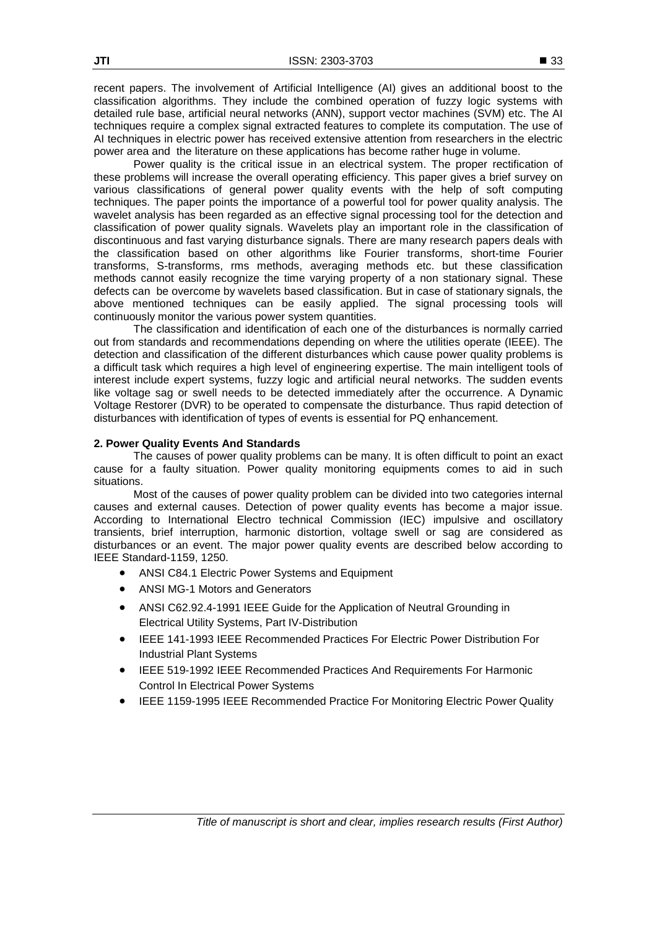recent papers. The involvement of Artificial Intelligence (AI) gives an additional boost to the classification algorithms. They include the combined operation of fuzzy logic systems with detailed rule base, artificial neural networks (ANN), support vector machines (SVM) etc. The AI techniques require a complex signal extracted features to complete its computation. The use of AI techniques in electric power has received extensive attention from researchers in the electric power area and the literature on these applications has become rather huge in volume.

Power quality is the critical issue in an electrical system. The proper rectification of these problems will increase the overall operating efficiency. This paper gives a brief survey on various classifications of general power quality events with the help of soft computing techniques. The paper points the importance of a powerful tool for power quality analysis. The wavelet analysis has been regarded as an effective signal processing tool for the detection and classification of power quality signals. Wavelets play an important role in the classification of discontinuous and fast varying disturbance signals. There are many research papers deals with the classification based on other algorithms like Fourier transforms, short-time Fourier transforms, S-transforms, rms methods, averaging methods etc. but these classification methods cannot easily recognize the time varying property of a non stationary signal. These defects can be overcome by wavelets based classification. But in case of stationary signals, the above mentioned techniques can be easily applied. The signal processing tools will continuously monitor the various power system quantities.

The classification and identification of each one of the disturbances is normally carried out from standards and recommendations depending on where the utilities operate (IEEE). The detection and classification of the different disturbances which cause power quality problems is a difficult task which requires a high level of engineering expertise. The main intelligent tools of interest include expert systems, fuzzy logic and artificial neural networks. The sudden events like voltage sag or swell needs to be detected immediately after the occurrence. A Dynamic Voltage Restorer (DVR) to be operated to compensate the disturbance. Thus rapid detection of disturbances with identification of types of events is essential for PQ enhancement.

## **2. Power Quality Events And Standards**

The causes of power quality problems can be many. It is often difficult to point an exact cause for a faulty situation. Power quality monitoring equipments comes to aid in such situations.

Most of the causes of power quality problem can be divided into two categories internal causes and external causes. Detection of power quality events has become a major issue. According to International Electro technical Commission (IEC) impulsive and oscillatory transients, brief interruption, harmonic distortion, voltage swell or sag are considered as disturbances or an event. The major power quality events are described below according to IEEE Standard-1159, 1250.

- ANSI C84.1 Electric Power Systems and Equipment
- ANSI MG-1 Motors and Generators
- ANSI C62.92.4-1991 IEEE Guide for the Application of Neutral Grounding in Electrical Utility Systems, Part IV-Distribution
- IEEE 141-1993 IEEE Recommended Practices For Electric Power Distribution For Industrial Plant Systems
- IEEE 519-1992 IEEE Recommended Practices And Requirements For Harmonic Control In Electrical Power Systems
- IEEE 1159-1995 IEEE Recommended Practice For Monitoring Electric Power Quality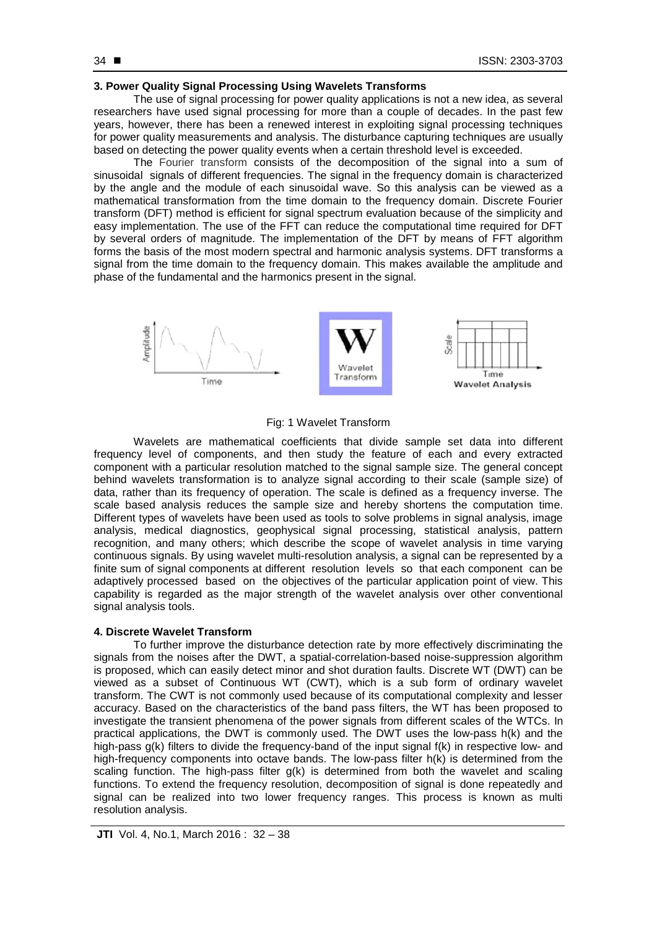## **3. Power Quality Signal Processing Using Wavelets Transforms**

The use of signal processing for power quality applications is not a new idea, as several researchers have used signal processing for more than a couple of decades. In the past few years, however, there has been a renewed interest in exploiting signal processing techniques for power quality measurements and analysis. The disturbance capturing techniques are usually based on detecting the power quality events when a certain threshold level is exceeded.

The Fourier transform consists of the decomposition of the signal into a sum of sinusoidal signals of different frequencies. The signal in the frequency domain is characterized by the angle and the module of each sinusoidal wave. So this analysis can be viewed as a mathematical transformation from the time domain to the frequency domain. Discrete Fourier transform (DFT) method is efficient for signal spectrum evaluation because of the simplicity and easy implementation. The use of the FFT can reduce the computational time required for DFT by several orders of magnitude. The implementation of the DFT by means of FFT algorithm forms the basis of the most modern spectral and harmonic analysis systems. DFT transforms a signal from the time domain to the frequency domain. This makes available the amplitude and phase of the fundamental and the harmonics present in the signal.



## Fig: 1 Wavelet Transform

Wavelets are mathematical coefficients that divide sample set data into different frequency level of components, and then study the feature of each and every extracted component with a particular resolution matched to the signal sample size. The general concept behind wavelets transformation is to analyze signal according to their scale (sample size) of data, rather than its frequency of operation. The scale is defined as a frequency inverse. The scale based analysis reduces the sample size and hereby shortens the computation time. Different types of wavelets have been used as tools to solve problems in signal analysis, image analysis, medical diagnostics, geophysical signal processing, statistical analysis, pattern recognition, and many others; which describe the scope of wavelet analysis in time varying continuous signals. By using wavelet multi-resolution analysis, a signal can be represented by a finite sum of signal components at different resolution levels so that each component can be adaptively processed based on the objectives of the particular application point of view. This capability is regarded as the major strength of the wavelet analysis over other conventional signal analysis tools.

#### **4. Discrete Wavelet Transform**

To further improve the disturbance detection rate by more effectively discriminating the signals from the noises after the DWT, a spatial-correlation-based noise-suppression algorithm is proposed, which can easily detect minor and shot duration faults. Discrete WT (DWT) can be viewed as a subset of Continuous WT (CWT), which is a sub form of ordinary wavelet transform. The CWT is not commonly used because of its computational complexity and lesser accuracy. Based on the characteristics of the band pass filters, the WT has been proposed to investigate the transient phenomena of the power signals from different scales of the WTCs. In practical applications, the DWT is commonly used. The DWT uses the low-pass h(k) and the high-pass g(k) filters to divide the frequency-band of the input signal f(k) in respective low- and high-frequency components into octave bands. The low-pass filter h(k) is determined from the scaling function. The high-pass filter  $g(k)$  is determined from both the wavelet and scaling functions. To extend the frequency resolution, decomposition of signal is done repeatedly and signal can be realized into two lower frequency ranges. This process is known as multi resolution analysis.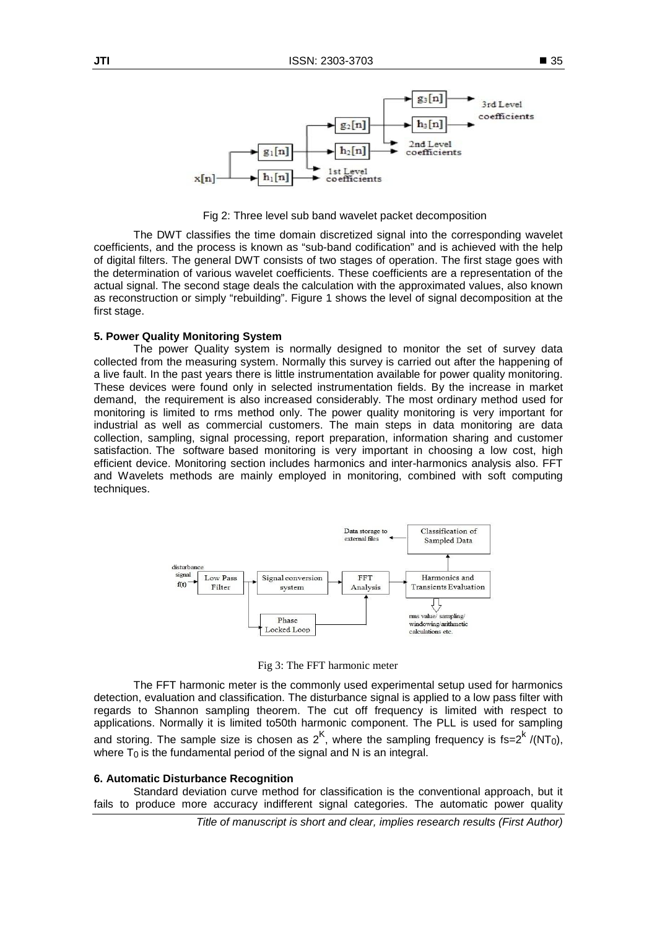

Fig 2: Three level sub band wavelet packet decomposition

The DWT classifies the time domain discretized signal into the corresponding wavelet coefficients, and the process is known as "sub-band codification" and is achieved with the help of digital filters. The general DWT consists of two stages of operation. The first stage goes with the determination of various wavelet coefficients. These coefficients are a representation of the actual signal. The second stage deals the calculation with the approximated values, also known as reconstruction or simply "rebuilding". Figure 1 shows the level of signal decomposition at the first stage.

## **5. Power Quality Monitoring System**

The power Quality system is normally designed to monitor the set of survey data collected from the measuring system. Normally this survey is carried out after the happening of a live fault. In the past years there is little instrumentation available for power quality monitoring. These devices were found only in selected instrumentation fields. By the increase in market demand, the requirement is also increased considerably. The most ordinary method used for monitoring is limited to rms method only. The power quality monitoring is very important for industrial as well as commercial customers. The main steps in data monitoring are data collection, sampling, signal processing, report preparation, information sharing and customer satisfaction. The software based monitoring is very important in choosing a low cost, high efficient device. Monitoring section includes harmonics and inter-harmonics analysis also. FFT and Wavelets methods are mainly employed in monitoring, combined with soft computing techniques.



Fig 3: The FFT harmonic meter

The FFT harmonic meter is the commonly used experimental setup used for harmonics detection, evaluation and classification. The disturbance signal is applied to a low pass filter with regards to Shannon sampling theorem. The cut off frequency is limited with respect to applications. Normally it is limited to50th harmonic component. The PLL is used for sampling and storing. The sample size is chosen as  $2^{K}$ , where the sampling frequency is fs= $2^{K}$  /(NT<sub>0</sub>), where  $T_0$  is the fundamental period of the signal and N is an integral.

## **6. Automatic Disturbance Recognition**

Standard deviation curve method for classification is the conventional approach, but it fails to produce more accuracy indifferent signal categories. The automatic power quality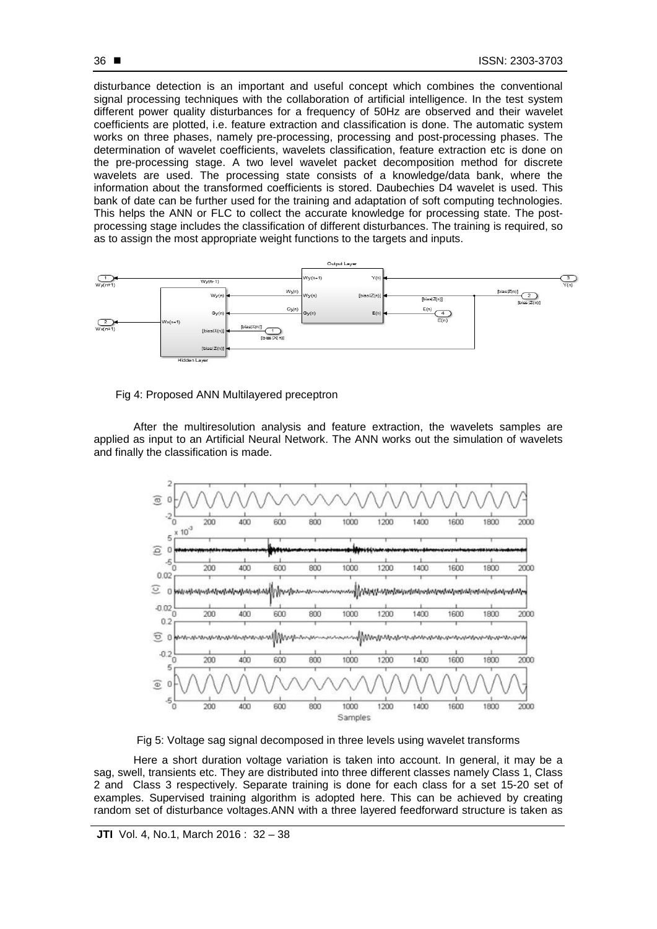disturbance detection is an important and useful concept which combines the conventional signal processing techniques with the collaboration of artificial intelligence. In the test system different power quality disturbances for a frequency of 50Hz are observed and their wavelet coefficients are plotted, i.e. feature extraction and classification is done. The automatic system works on three phases, namely pre-processing, processing and post-processing phases. The determination of wavelet coefficients, wavelets classification, feature extraction etc is done on the pre-processing stage. A two level wavelet packet decomposition method for discrete wavelets are used. The processing state consists of a knowledge/data bank, where the information about the transformed coefficients is stored. Daubechies D4 wavelet is used. This bank of date can be further used for the training and adaptation of soft computing technologies. This helps the ANN or FLC to collect the accurate knowledge for processing state. The postprocessing stage includes the classification of different disturbances. The training is required, so as to assign the most appropriate weight functions to the targets and inputs.



Fig 4: Proposed ANN Multilayered preceptron

After the multiresolution analysis and feature extraction, the wavelets samples are applied as input to an Artificial Neural Network. The ANN works out the simulation of wavelets and finally the classification is made.



Fig 5: Voltage sag signal decomposed in three levels using wavelet transforms

Here a short duration voltage variation is taken into account. In general, it may be a sag, swell, transients etc. They are distributed into three different classes namely Class 1, Class 2 and Class 3 respectively. Separate training is done for each class for a set 15-20 set of examples. Supervised training algorithm is adopted here. This can be achieved by creating random set of disturbance voltages.ANN with a three layered feedforward structure is taken as

36 ■

**JTI** Vol. 4, No.1, March 2016 : 32 – 38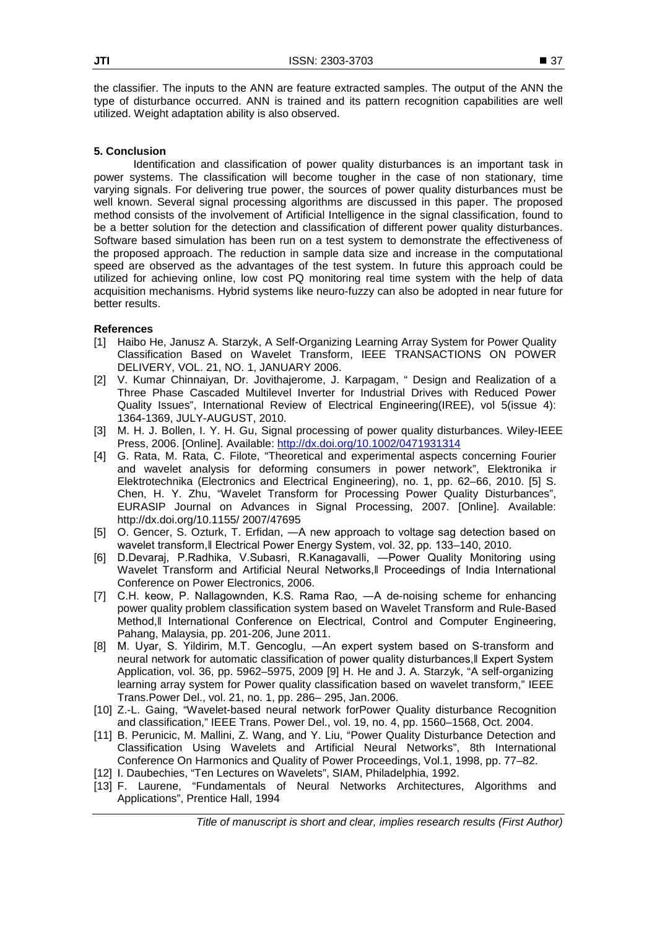the classifier. The inputs to the ANN are feature extracted samples. The output of the ANN the type of disturbance occurred. ANN is trained and its pattern recognition capabilities are well utilized. Weight adaptation ability is also observed.

## **5. Conclusion**

Identification and classification of power quality disturbances is an important task in power systems. The classification will become tougher in the case of non stationary, time varying signals. For delivering true power, the sources of power quality disturbances must be well known. Several signal processing algorithms are discussed in this paper. The proposed method consists of the involvement of Artificial Intelligence in the signal classification, found to be a better solution for the detection and classification of different power quality disturbances. Software based simulation has been run on a test system to demonstrate the effectiveness of the proposed approach. The reduction in sample data size and increase in the computational speed are observed as the advantages of the test system. In future this approach could be utilized for achieving online, low cost PQ monitoring real time system with the help of data acquisition mechanisms. Hybrid systems like neuro-fuzzy can also be adopted in near future for better results.

## **References**

- [1] Haibo He, Janusz A. Starzyk, A Self-Organizing Learning Array System for Power Quality Classification Based on Wavelet Transform, IEEE TRANSACTIONS ON POWER DELIVERY, VOL. 21, NO. 1, JANUARY 2006.
- [2] V. Kumar Chinnaiyan, Dr. Jovithajerome, J. Karpagam, " Design and Realization of a Three Phase Cascaded Multilevel Inverter for Industrial Drives with Reduced Power Quality Issues", International Review of Electrical Engineering(IREE), vol 5(issue 4): 1364-1369, JULY-AUGUST, 2010.
- [3] M. H. J. Bollen, I. Y. H. Gu, Signal processing of power quality disturbances. Wiley-IEEE Press, 2006. [Online]. Available:<http://dx.doi.org/10.1002/0471931314>
- [4] G. Rata, M. Rata, C. Filote, "Theoretical and experimental aspects concerning Fourier and wavelet analysis for deforming consumers in power network", Elektronika ir Elektrotechnika (Electronics and Electrical Engineering), no. 1, pp. 62–66, 2010. [5] S. Chen, H. Y. Zhu, "Wavelet Transform for Processing Power Quality Disturbances", EURASIP Journal on Advances in Signal Processing, 2007. [Online]. Available: <http://dx.doi.org/10.1155/> 2007/47695
- [5] O. Gencer, S. Ozturk, T. Erfidan, ―A new approach to voltage sag detection based on wavelet transform,‖ Electrical Power Energy System, vol. 32, pp. 133–140, 2010.
- [6] D.Devaraj, P.Radhika, V.Subasri, R.Kanagavalli, ―Power Quality Monitoring using Wavelet Transform and Artificial Neural Networks,‖ Proceedings of India International Conference on Power Electronics, 2006.
- [7] C.H. keow, P. Nallagownden, K.S. Rama Rao, ―A de-noising scheme for enhancing power quality problem classification system based on Wavelet Transform and Rule-Based Method,‖ International Conference on Electrical, Control and Computer Engineering, Pahang, Malaysia, pp. 201-206, June 2011.
- [8] M. Uyar, S. Yildirim, M.T. Gencoglu, ―An expert system based on S-transform and neural network for automatic classification of power quality disturbances,‖ Expert System Application, vol. 36, pp. 5962–5975, 2009 [9] H. He and J. A. Starzyk, "A self-organizing learning array system for Power quality classification based on wavelet transform," IEEE Trans.Power Del., vol. 21, no. 1, pp. 286– 295, Jan.2006.
- [10] Z.-L. Gaing, "Wavelet-based neural network forPower Quality disturbance Recognition and classification," IEEE Trans. Power Del., vol. 19, no. 4, pp. 1560–1568, Oct. 2004.
- [11] B. Perunicic, M. Mallini, Z. Wang, and Y. Liu, "Power Quality Disturbance Detection and Classification Using Wavelets and Artificial Neural Networks", 8th International Conference On Harmonics and Quality of Power Proceedings, Vol.1, 1998, pp. 77–82.
- [12] I. Daubechies, "Ten Lectures on Wavelets", SIAM, Philadelphia, 1992.
- [13] F. Laurene, "Fundamentals of Neural Networks Architectures, Algorithms and Applications", Prentice Hall, 1994

*Title of manuscript is short and clear, implies research results (First Author)*